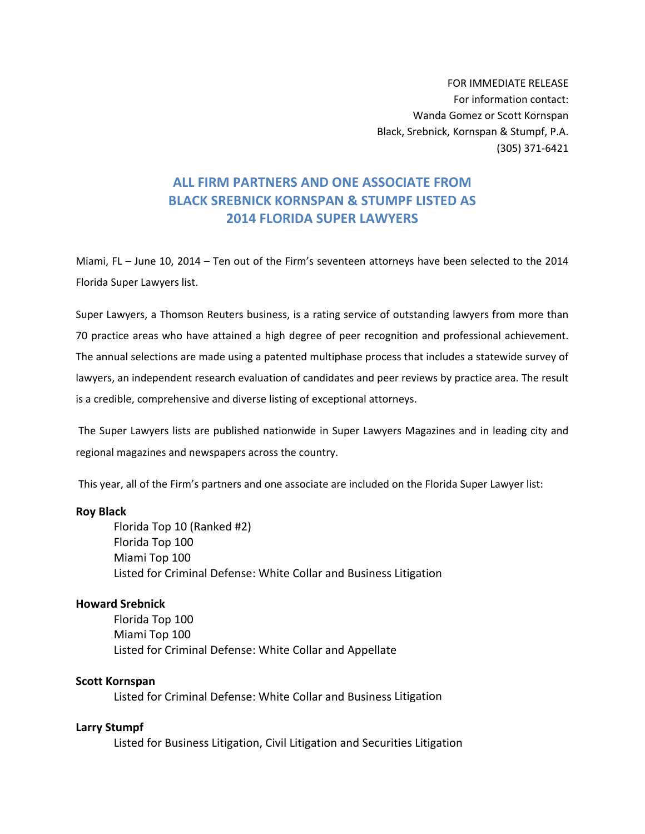FOR IMMEDIATE RELEASE For information contact: Wanda Gomez or Scott Kornspan Black, Srebnick, Kornspan & Stumpf, P.A. (305) 371‐6421

# **ALL FIRM PARTNERS AND ONE ASSOCIATE FROM BLACK SREBNICK KORNSPAN & STUMPF LISTED AS 2014 FLORIDA SUPER LAWYERS**

Miami, FL – June 10, 2014 – Ten out of the Firm's seventeen attorneys have been selected to the 2014 Florida Super Lawyers list.

Super Lawyers, a Thomson Reuters business, is a rating service of outstanding lawyers from more than 70 practice areas who have attained a high degree of peer recognition and professional achievement. The annual selections are made using a patented multiphase process that includes a statewide survey of lawyers, an independent research evaluation of candidates and peer reviews by practice area. The result is a credible, comprehensive and diverse listing of exceptional attorneys.

The Super Lawyers lists are published nationwide in Super Lawyers Magazines and in leading city and regional magazines and newspapers across the country.

This year, all of the Firm's partners and one associate are included on the Florida Super Lawyer list:

#### **Roy Black**

Florida Top 10 (Ranked #2) Florida Top 100 Miami Top 100 Listed for Criminal Defense: White Collar and Business Litigation

#### **Howard Srebnick**

Florida Top 100 Miami Top 100 Listed for Criminal Defense: White Collar and Appellate

#### **Scott Kornspan**

Listed for Criminal Defense: White Collar and Business Litigation

### **Larry Stumpf**

Listed for Business Litigation, Civil Litigation and Securities Litigation